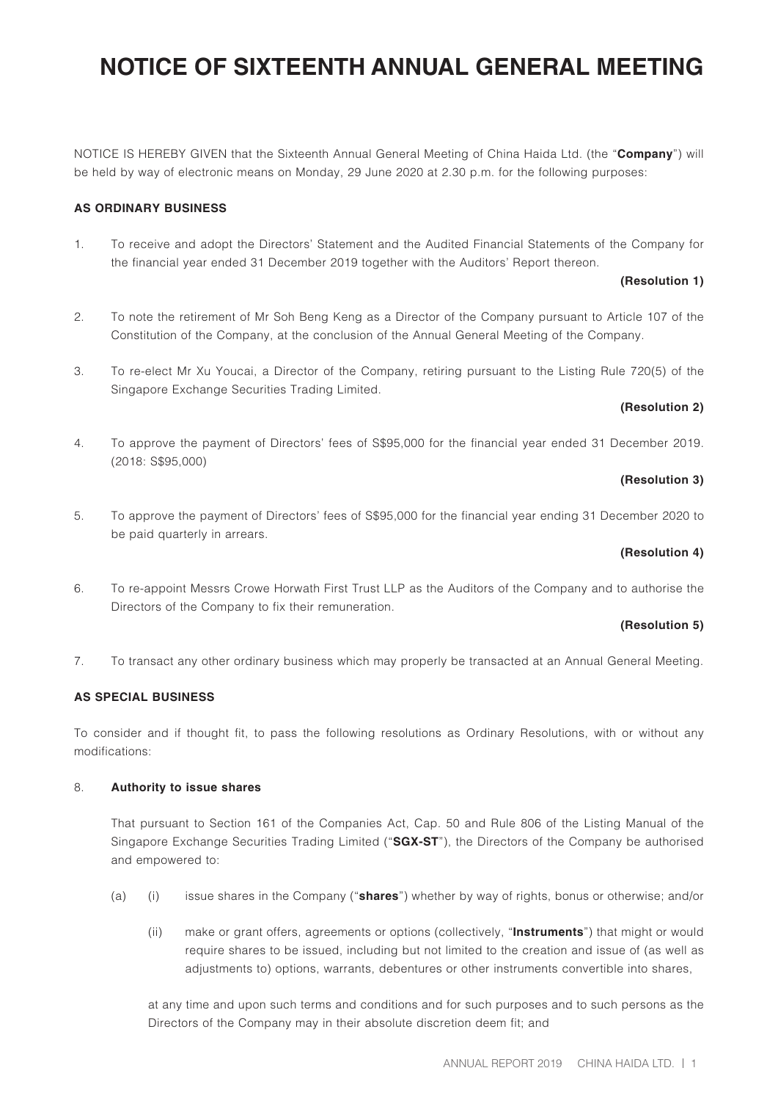NOTICE IS HEREBY GIVEN that the Sixteenth Annual General Meeting of China Haida Ltd. (the "**Company**") will be held by way of electronic means on Monday, 29 June 2020 at 2.30 p.m. for the following purposes:

### **AS ORDINARY BUSINESS**

1. To receive and adopt the Directors' Statement and the Audited Financial Statements of the Company for the financial year ended 31 December 2019 together with the Auditors' Report thereon.

### **(Resolution 1)**

- 2. To note the retirement of Mr Soh Beng Keng as a Director of the Company pursuant to Article 107 of the Constitution of the Company, at the conclusion of the Annual General Meeting of the Company.
- 3. To re-elect Mr Xu Youcai, a Director of the Company, retiring pursuant to the Listing Rule 720(5) of the Singapore Exchange Securities Trading Limited.

### **(Resolution 2)**

4. To approve the payment of Directors' fees of S\$95,000 for the financial year ended 31 December 2019. (2018: S\$95,000)

### **(Resolution 3)**

5. To approve the payment of Directors' fees of S\$95,000 for the financial year ending 31 December 2020 to be paid quarterly in arrears.

### **(Resolution 4)**

6. To re-appoint Messrs Crowe Horwath First Trust LLP as the Auditors of the Company and to authorise the Directors of the Company to fix their remuneration.

### **(Resolution 5)**

7. To transact any other ordinary business which may properly be transacted at an Annual General Meeting.

### **AS SPECIAL BUSINESS**

To consider and if thought fit, to pass the following resolutions as Ordinary Resolutions, with or without any modifications:

### 8. **Authority to issue shares**

That pursuant to Section 161 of the Companies Act, Cap. 50 and Rule 806 of the Listing Manual of the Singapore Exchange Securities Trading Limited ("**SGX-ST**"), the Directors of the Company be authorised and empowered to:

- (a) (i) issue shares in the Company ("**shares**") whether by way of rights, bonus or otherwise; and/or
	- (ii) make or grant offers, agreements or options (collectively, "**Instruments**") that might or would require shares to be issued, including but not limited to the creation and issue of (as well as adjustments to) options, warrants, debentures or other instruments convertible into shares,

at any time and upon such terms and conditions and for such purposes and to such persons as the Directors of the Company may in their absolute discretion deem fit; and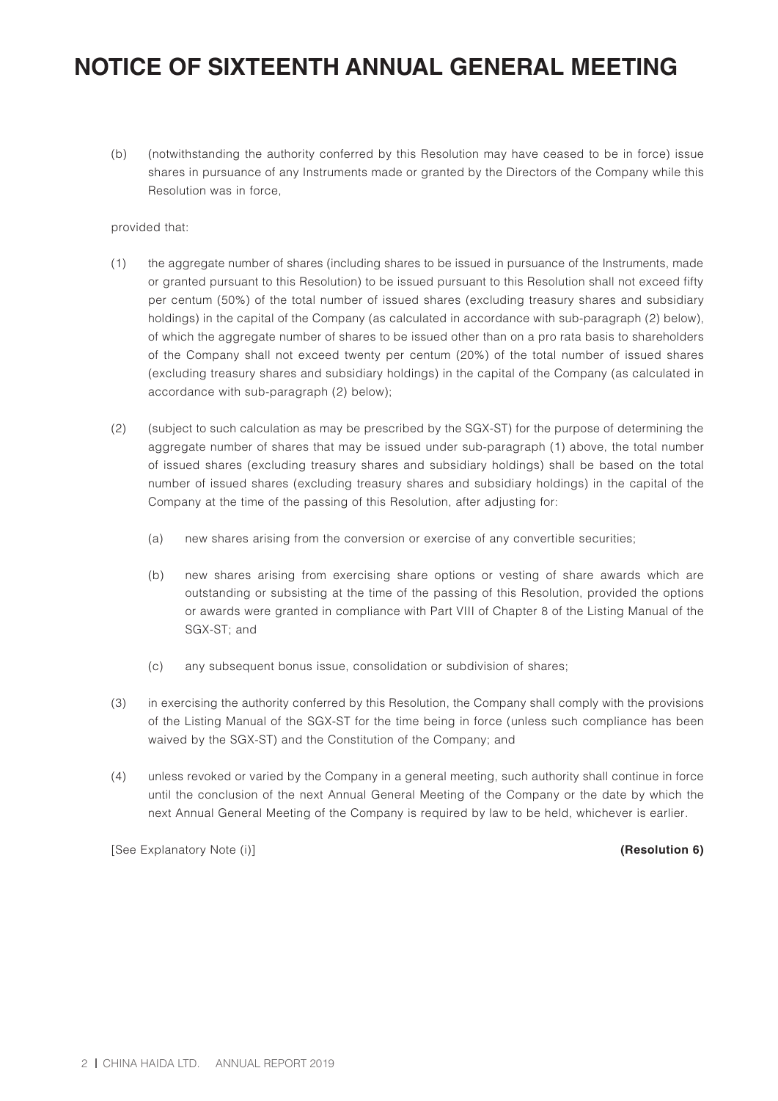(b) (notwithstanding the authority conferred by this Resolution may have ceased to be in force) issue shares in pursuance of any Instruments made or granted by the Directors of the Company while this Resolution was in force,

### provided that:

- (1) the aggregate number of shares (including shares to be issued in pursuance of the Instruments, made or granted pursuant to this Resolution) to be issued pursuant to this Resolution shall not exceed fifty per centum (50%) of the total number of issued shares (excluding treasury shares and subsidiary holdings) in the capital of the Company (as calculated in accordance with sub-paragraph (2) below), of which the aggregate number of shares to be issued other than on a pro rata basis to shareholders of the Company shall not exceed twenty per centum (20%) of the total number of issued shares (excluding treasury shares and subsidiary holdings) in the capital of the Company (as calculated in accordance with sub-paragraph (2) below);
- (2) (subject to such calculation as may be prescribed by the SGX-ST) for the purpose of determining the aggregate number of shares that may be issued under sub-paragraph (1) above, the total number of issued shares (excluding treasury shares and subsidiary holdings) shall be based on the total number of issued shares (excluding treasury shares and subsidiary holdings) in the capital of the Company at the time of the passing of this Resolution, after adjusting for:
	- (a) new shares arising from the conversion or exercise of any convertible securities;
	- (b) new shares arising from exercising share options or vesting of share awards which are outstanding or subsisting at the time of the passing of this Resolution, provided the options or awards were granted in compliance with Part VIII of Chapter 8 of the Listing Manual of the SGX-ST; and
	- (c) any subsequent bonus issue, consolidation or subdivision of shares;
- (3) in exercising the authority conferred by this Resolution, the Company shall comply with the provisions of the Listing Manual of the SGX-ST for the time being in force (unless such compliance has been waived by the SGX-ST) and the Constitution of the Company; and
- (4) unless revoked or varied by the Company in a general meeting, such authority shall continue in force until the conclusion of the next Annual General Meeting of the Company or the date by which the next Annual General Meeting of the Company is required by law to be held, whichever is earlier.

[See Explanatory Note (i)] **(Resolution 6)**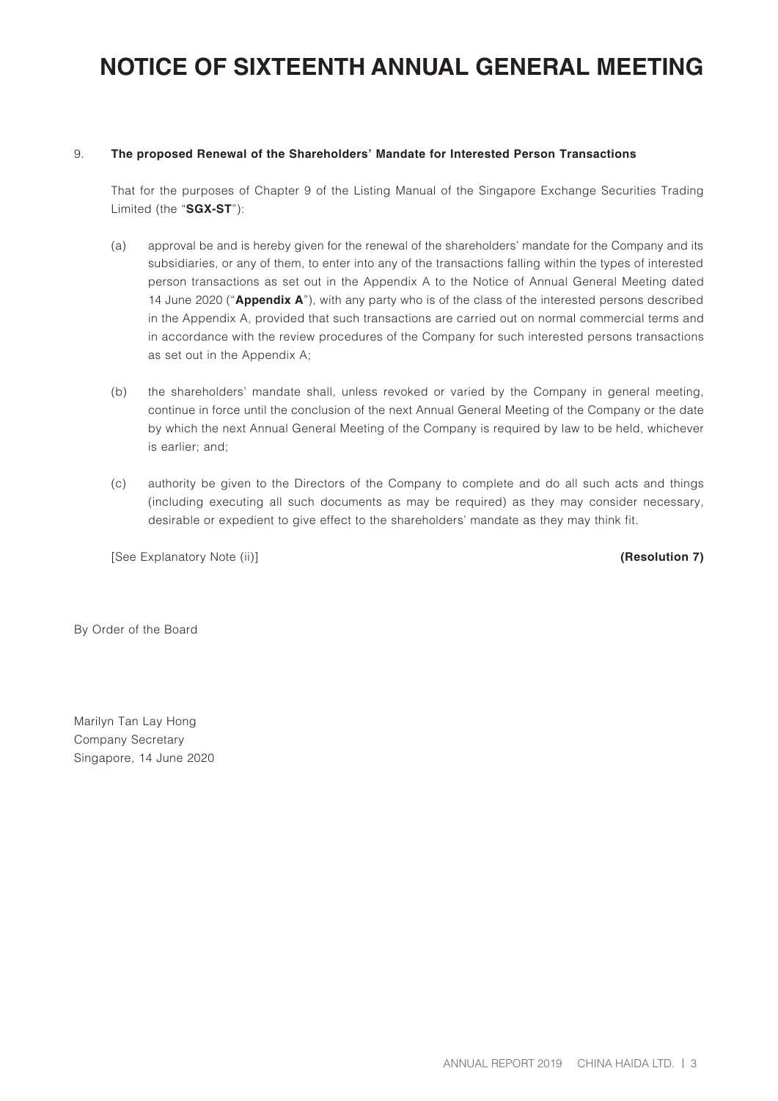#### 9. **The proposed Renewal of the Shareholders' Mandate for Interested Person Transactions**

That for the purposes of Chapter 9 of the Listing Manual of the Singapore Exchange Securities Trading Limited (the "**SGX-ST**"):

- (a) approval be and is hereby given for the renewal of the shareholders' mandate for the Company and its subsidiaries, or any of them, to enter into any of the transactions falling within the types of interested person transactions as set out in the Appendix A to the Notice of Annual General Meeting dated 14 June 2020 ("**Appendix A**"), with any party who is of the class of the interested persons described in the Appendix A, provided that such transactions are carried out on normal commercial terms and in accordance with the review procedures of the Company for such interested persons transactions as set out in the Appendix A;
- (b) the shareholders' mandate shall, unless revoked or varied by the Company in general meeting, continue in force until the conclusion of the next Annual General Meeting of the Company or the date by which the next Annual General Meeting of the Company is required by law to be held, whichever is earlier; and;
- (c) authority be given to the Directors of the Company to complete and do all such acts and things (including executing all such documents as may be required) as they may consider necessary, desirable or expedient to give effect to the shareholders' mandate as they may think fit.

[See Explanatory Note (ii)] **(Resolution 7)**

By Order of the Board

Marilyn Tan Lay Hong Company Secretary Singapore, 14 June 2020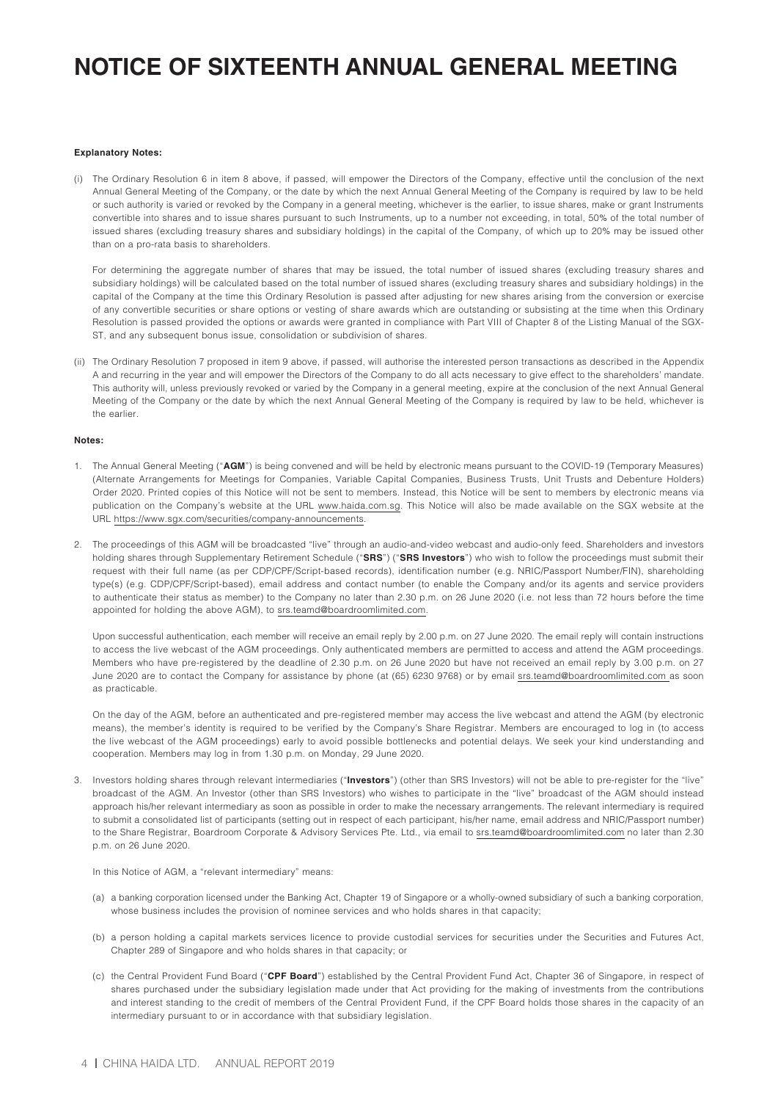#### **Explanatory Notes:**

(i) The Ordinary Resolution 6 in item 8 above, if passed, will empower the Directors of the Company, effective until the conclusion of the next Annual General Meeting of the Company, or the date by which the next Annual General Meeting of the Company is required by law to be held or such authority is varied or revoked by the Company in a general meeting, whichever is the earlier, to issue shares, make or grant Instruments convertible into shares and to issue shares pursuant to such Instruments, up to a number not exceeding, in total, 50% of the total number of issued shares (excluding treasury shares and subsidiary holdings) in the capital of the Company, of which up to 20% may be issued other than on a pro-rata basis to shareholders.

For determining the aggregate number of shares that may be issued, the total number of issued shares (excluding treasury shares and subsidiary holdings) will be calculated based on the total number of issued shares (excluding treasury shares and subsidiary holdings) in the capital of the Company at the time this Ordinary Resolution is passed after adjusting for new shares arising from the conversion or exercise of any convertible securities or share options or vesting of share awards which are outstanding or subsisting at the time when this Ordinary Resolution is passed provided the options or awards were granted in compliance with Part VIII of Chapter 8 of the Listing Manual of the SGX-ST, and any subsequent bonus issue, consolidation or subdivision of shares.

(ii) The Ordinary Resolution 7 proposed in item 9 above, if passed, will authorise the interested person transactions as described in the Appendix A and recurring in the year and will empower the Directors of the Company to do all acts necessary to give effect to the shareholders' mandate. This authority will, unless previously revoked or varied by the Company in a general meeting, expire at the conclusion of the next Annual General Meeting of the Company or the date by which the next Annual General Meeting of the Company is required by law to be held, whichever is the earlier.

#### **Notes:**

- 1. The Annual General Meeting ("**AGM**") is being convened and will be held by electronic means pursuant to the COVID-19 (Temporary Measures) (Alternate Arrangements for Meetings for Companies, Variable Capital Companies, Business Trusts, Unit Trusts and Debenture Holders) Order 2020. Printed copies of this Notice will not be sent to members. Instead, this Notice will be sent to members by electronic means via publication on the Company's website at the URL www.haida.com.sg. This Notice will also be made available on the SGX website at the URL https://www.sgx.com/securities/company-announcements.
- 2. The proceedings of this AGM will be broadcasted "live" through an audio-and-video webcast and audio-only feed. Shareholders and investors holding shares through Supplementary Retirement Schedule ("**SRS**") ("**SRS Investors**") who wish to follow the proceedings must submit their request with their full name (as per CDP/CPF/Script-based records), identification number (e.g. NRIC/Passport Number/FIN), shareholding type(s) (e.g. CDP/CPF/Script-based), email address and contact number (to enable the Company and/or its agents and service providers to authenticate their status as member) to the Company no later than 2.30 p.m. on 26 June 2020 (i.e. not less than 72 hours before the time appointed for holding the above AGM), to srs.teamd@boardroomlimited.com.

Upon successful authentication, each member will receive an email reply by 2.00 p.m. on 27 June 2020. The email reply will contain instructions to access the live webcast of the AGM proceedings. Only authenticated members are permitted to access and attend the AGM proceedings. Members who have pre-registered by the deadline of 2.30 p.m. on 26 June 2020 but have not received an email reply by 3.00 p.m. on 27 June 2020 are to contact the Company for assistance by phone (at (65) 6230 9768) or by email srs.teamd@boardroomlimited.com as soon as practicable.

On the day of the AGM, before an authenticated and pre-registered member may access the live webcast and attend the AGM (by electronic means), the member's identity is required to be verified by the Company's Share Registrar. Members are encouraged to log in (to access the live webcast of the AGM proceedings) early to avoid possible bottlenecks and potential delays. We seek your kind understanding and cooperation. Members may log in from 1.30 p.m. on Monday, 29 June 2020.

3. Investors holding shares through relevant intermediaries ("**Investors**") (other than SRS Investors) will not be able to pre-register for the "live" broadcast of the AGM. An Investor (other than SRS Investors) who wishes to participate in the "live" broadcast of the AGM should instead approach his/her relevant intermediary as soon as possible in order to make the necessary arrangements. The relevant intermediary is required to submit a consolidated list of participants (setting out in respect of each participant, his/her name, email address and NRIC/Passport number) to the Share Registrar, Boardroom Corporate & Advisory Services Pte. Ltd., via email to srs.teamd@boardroomlimited.com no later than 2.30 p.m. on 26 June 2020.

In this Notice of AGM, a "relevant intermediary" means:

- (a) a banking corporation licensed under the Banking Act, Chapter 19 of Singapore or a wholly-owned subsidiary of such a banking corporation, whose business includes the provision of nominee services and who holds shares in that capacity;
- (b) a person holding a capital markets services licence to provide custodial services for securities under the Securities and Futures Act, Chapter 289 of Singapore and who holds shares in that capacity; or
- (c) the Central Provident Fund Board ("**CPF Board**") established by the Central Provident Fund Act, Chapter 36 of Singapore, in respect of shares purchased under the subsidiary legislation made under that Act providing for the making of investments from the contributions and interest standing to the credit of members of the Central Provident Fund, if the CPF Board holds those shares in the capacity of an intermediary pursuant to or in accordance with that subsidiary legislation.